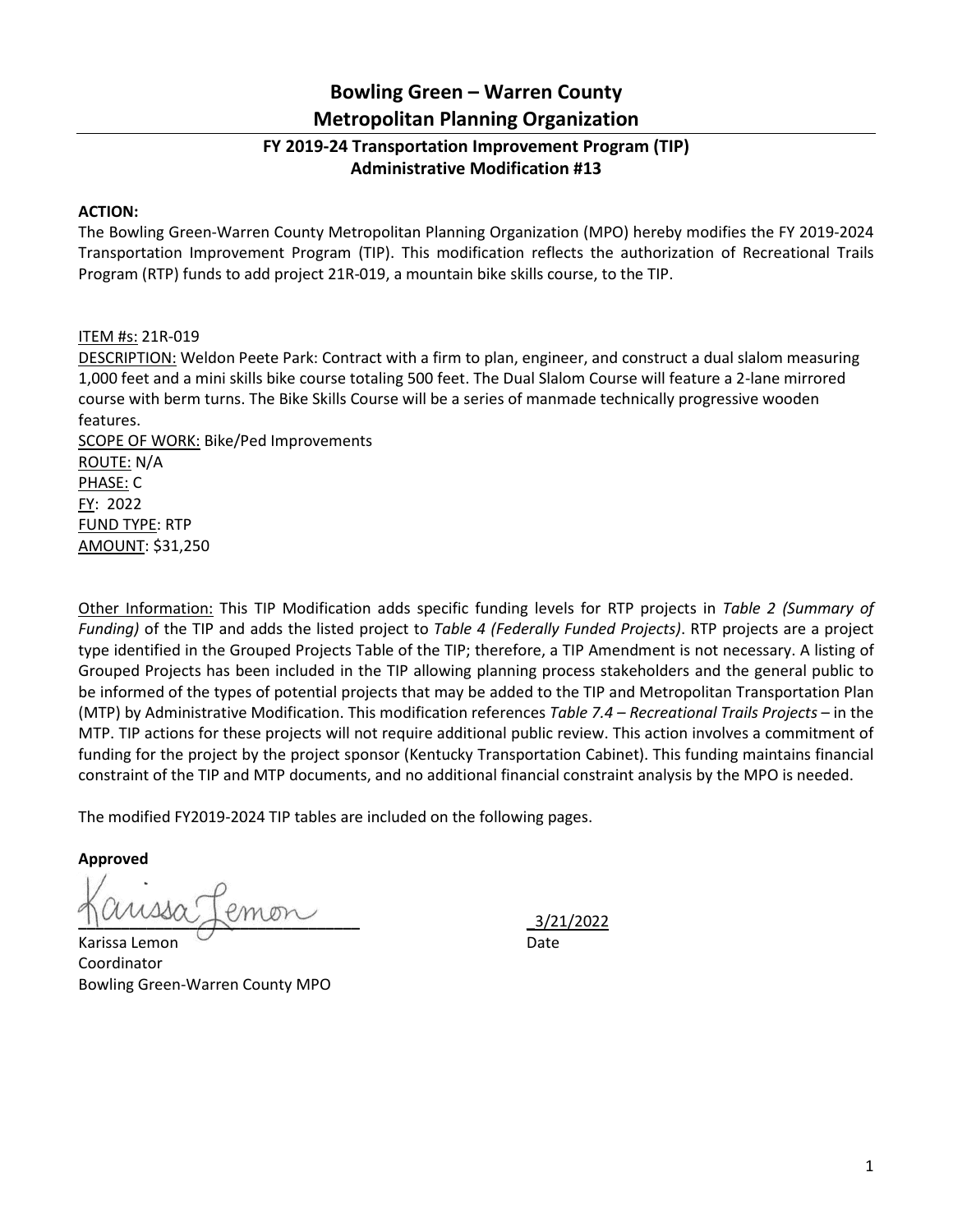## **Bowling Green – Warren County Metropolitan Planning Organization**

## **FY 2019-24 Transportation Improvement Program (TIP) Administrative Modification #13**

## **ACTION:**

The Bowling Green-Warren County Metropolitan Planning Organization (MPO) hereby modifies the FY 2019-2024 Transportation Improvement Program (TIP). This modification reflects the authorization of Recreational Trails Program (RTP) funds to add project 21R-019, a mountain bike skills course, to the TIP.

## ITEM #s: 21R-019

DESCRIPTION: Weldon Peete Park: Contract with a firm to plan, engineer, and construct a dual slalom measuring 1,000 feet and a mini skills bike course totaling 500 feet. The Dual Slalom Course will feature a 2-lane mirrored course with berm turns. The Bike Skills Course will be a series of manmade technically progressive wooden features.

SCOPE OF WORK: Bike/Ped Improvements ROUTE: N/A PHASE: C FY: 2022 FUND TYPE: RTP AMOUNT: \$31,250

Other Information: This TIP Modification adds specific funding levels for RTP projects in *Table 2 (Summary of Funding)* of the TIP and adds the listed project to *Table 4 (Federally Funded Projects)*. RTP projects are a project type identified in the Grouped Projects Table of the TIP; therefore, a TIP Amendment is not necessary. A listing of Grouped Projects has been included in the TIP allowing planning process stakeholders and the general public to be informed of the types of potential projects that may be added to the TIP and Metropolitan Transportation Plan (MTP) by Administrative Modification. This modification references *Table 7.4 – Recreational Trails Projects* – in the MTP. TIP actions for these projects will not require additional public review. This action involves a commitment of funding for the project by the project sponsor (Kentucky Transportation Cabinet). This funding maintains financial constraint of the TIP and MTP documents, and no additional financial constraint analysis by the MPO is needed.

The modified FY2019-2024 TIP tables are included on the following pages.

**Approved**

Karissa Lemon Date Coordinator Bowling Green-Warren County MPO

**\_\_\_\_\_\_\_\_\_\_\_\_\_\_\_\_\_\_\_\_\_\_\_\_\_\_\_\_\_\_\_\_\_** \_3/21/2022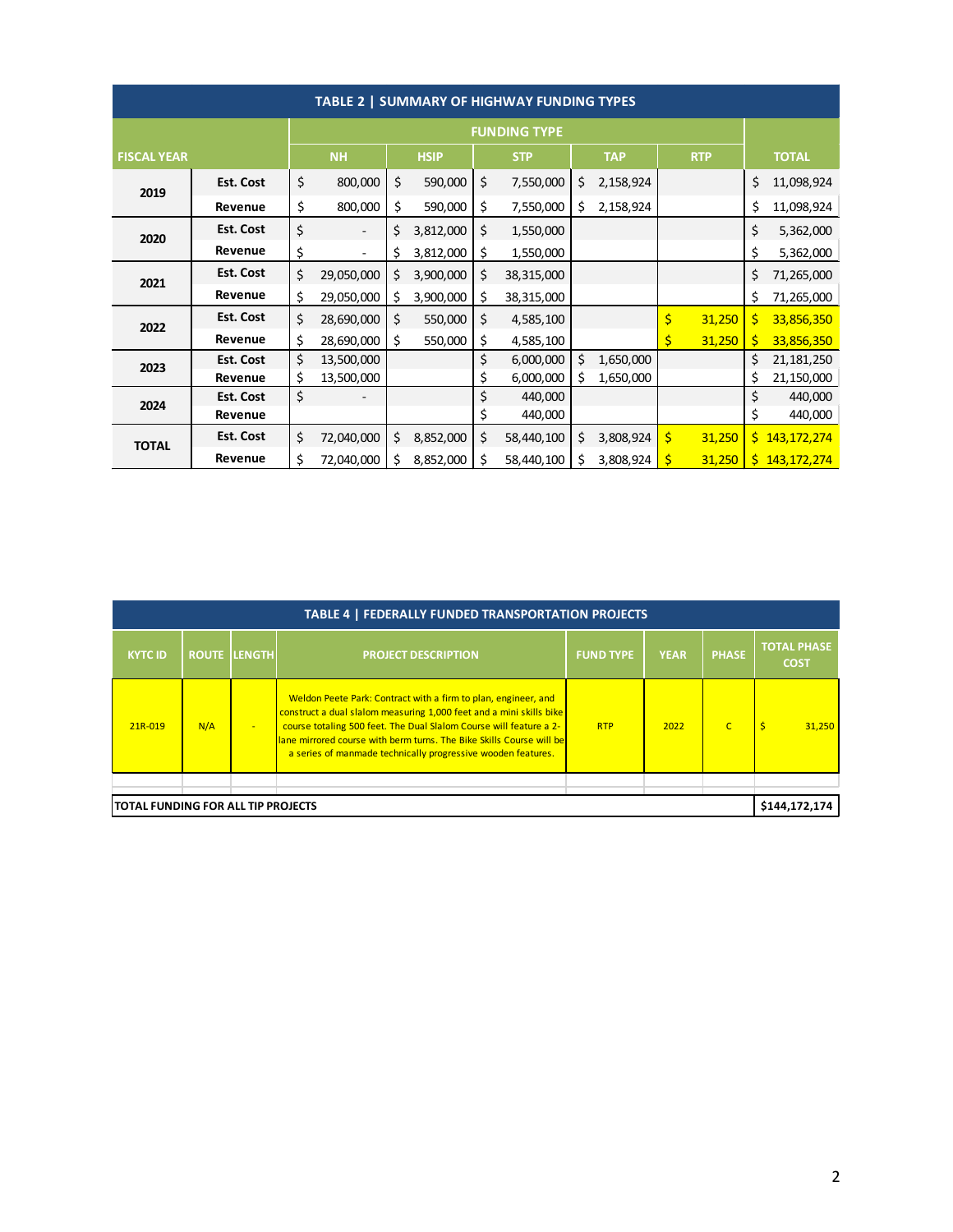| TABLE 2   SUMMARY OF HIGHWAY FUNDING TYPES |                  |                     |                          |             |           |            |            |            |           |            |        |              |               |
|--------------------------------------------|------------------|---------------------|--------------------------|-------------|-----------|------------|------------|------------|-----------|------------|--------|--------------|---------------|
|                                            |                  | <b>FUNDING TYPE</b> |                          |             |           |            |            |            |           |            |        |              |               |
| <b>FISCAL YEAR</b>                         |                  | <b>NH</b>           |                          | <b>HSIP</b> |           | <b>STP</b> |            | <b>TAP</b> |           | <b>RTP</b> |        | <b>TOTAL</b> |               |
| 2019                                       | Est. Cost        | \$                  | 800,000                  | \$          | 590,000   | \$         | 7,550,000  | \$         | 2,158,924 |            |        | \$           | 11,098,924    |
|                                            | Revenue          | \$                  | 800,000                  | \$          | 590,000   | \$         | 7,550,000  | \$         | 2,158,924 |            |        | \$           | 11,098,924    |
| 2020                                       | <b>Est. Cost</b> | \$                  | $\overline{\phantom{a}}$ | \$          | 3,812,000 | \$         | 1,550,000  |            |           |            |        | \$           | 5,362,000     |
|                                            | Revenue          | \$                  | ٠                        | \$          | 3,812,000 | \$         | 1,550,000  |            |           |            |        | \$           | 5,362,000     |
| 2021                                       | Est. Cost        | \$                  | 29,050,000               | \$          | 3,900,000 | \$         | 38,315,000 |            |           |            |        | \$           | 71,265,000    |
|                                            | Revenue          | \$                  | 29,050,000               | \$          | 3,900,000 | \$         | 38,315,000 |            |           |            |        | \$           | 71,265,000    |
| 2022                                       | <b>Est. Cost</b> | \$                  | 28,690,000               | \$          | 550,000   | \$         | 4,585,100  |            |           | \$         | 31,250 | \$.          | 33,856,350    |
|                                            | Revenue          | \$                  | 28,690,000               | \$          | 550,000   | \$         | 4,585,100  |            |           |            | 31,250 | \$           | 33,856,350    |
| 2023                                       | Est. Cost        | \$                  | 13,500,000               |             |           | \$         | 6,000,000  | \$         | 1,650,000 |            |        | \$           | 21, 181, 250  |
|                                            | Revenue          | \$                  | 13,500,000               |             |           | \$         | 6,000,000  | \$         | 1,650,000 |            |        | \$           | 21,150,000    |
| 2024                                       | <b>Est. Cost</b> | \$                  |                          |             |           | \$         | 440,000    |            |           |            |        | \$           | 440,000       |
|                                            | Revenue          |                     |                          |             |           | \$         | 440,000    |            |           |            |        | \$           | 440,000       |
| <b>TOTAL</b>                               | <b>Est. Cost</b> | \$                  | 72,040,000               | \$          | 8,852,000 | \$         | 58,440,100 | \$         | 3,808,924 | \$         | 31,250 |              | \$143,172,274 |
|                                            | Revenue          | \$                  | 72,040,000               | \$          | 8,852,000 | \$         | 58,440,100 | \$         | 3,808,924 | Ś          | 31,250 |              | \$143,172,274 |

| TABLE 4   FEDERALLY FUNDED TRANSPORTATION PROJECTS |     |                     |                                                                                                                                                                                                                                                                                                                                                     |                  |             |                |                                   |  |  |  |
|----------------------------------------------------|-----|---------------------|-----------------------------------------------------------------------------------------------------------------------------------------------------------------------------------------------------------------------------------------------------------------------------------------------------------------------------------------------------|------------------|-------------|----------------|-----------------------------------|--|--|--|
| <b>KYTC ID</b>                                     |     | <b>ROUTE LENGTH</b> | <b>PROJECT DESCRIPTION</b>                                                                                                                                                                                                                                                                                                                          | <b>FUND TYPE</b> | <b>YEAR</b> | <b>PHASE</b>   | <b>TOTAL PHASE</b><br><b>COST</b> |  |  |  |
| 21R-019                                            | N/A | / <del>-</del> 7    | Weldon Peete Park: Contract with a firm to plan, engineer, and<br>construct a dual slalom measuring 1,000 feet and a mini skills bike<br>course totaling 500 feet. The Dual Slalom Course will feature a 2-<br>lane mirrored course with berm turns. The Bike Skills Course will be<br>a series of manmade technically progressive wooden features. | <b>RTP</b>       | 2022        | $\overline{C}$ | 31.250                            |  |  |  |
|                                                    |     |                     |                                                                                                                                                                                                                                                                                                                                                     |                  |             |                |                                   |  |  |  |
| ITOTAL FUNDING FOR ALL TIP PROJECTS                |     |                     |                                                                                                                                                                                                                                                                                                                                                     |                  |             |                |                                   |  |  |  |